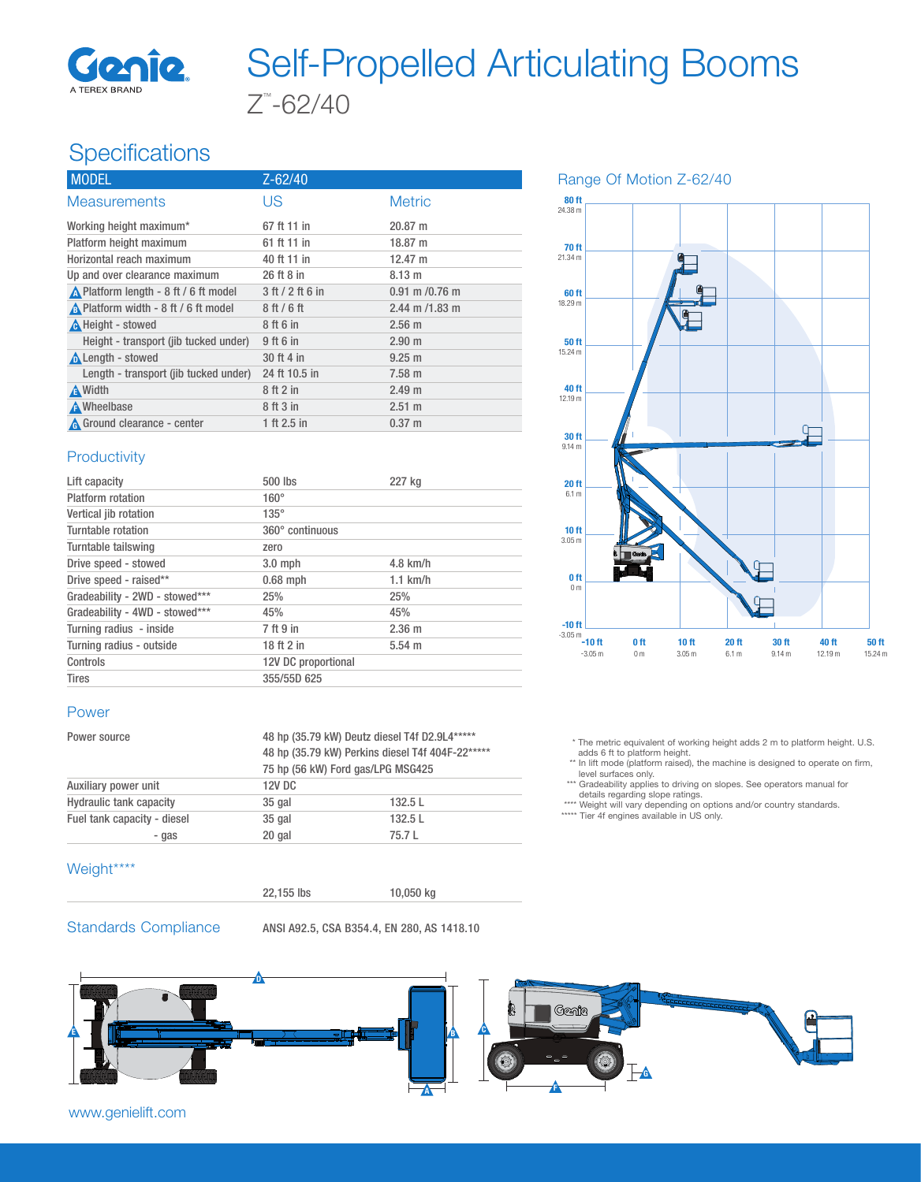

# Z™ -62/40 Self-Propelled Articulating Booms

# **Specifications**

| Z-62/40          |                    |
|------------------|--------------------|
| US               | <b>Metric</b>      |
| 67 ft 11 in      | $20.87 \text{ m}$  |
| 61 ft 11 in      | 18.87 m            |
| 40 ft 11 in      | $12.47 \text{ m}$  |
| 26 ft 8 in       | $8.13 \text{ m}$   |
| 3 ft / 2 ft 6 in | $0.91$ m $/0.76$ m |
| $8$ ft $/6$ ft   | 2.44 m $/1.83$ m   |
| 8 ft 6 in        | $2.56$ m           |
| 9 ft 6 in        | $2.90$ m           |
| 30 ft 4 in       | $9.25 \text{ m}$   |
| 24 ft 10.5 in    | $7.58 \text{ m}$   |
| 8 ft 2 in        | 2.49 <sub>m</sub>  |
| 8 ft 3 in        | $2.51 \text{ m}$   |
| 1 ft 2.5 in      | $0.37 \; m$        |
|                  |                    |

#### **Productivity**

| Lift capacity                  | 500 lbs             | 227 kg      |
|--------------------------------|---------------------|-------------|
| Platform rotation              | $160^\circ$         |             |
| Vertical jib rotation          | $135^\circ$         |             |
| Turntable rotation             | 360° continuous     |             |
| Turntable tailswing            | zero                |             |
| Drive speed - stowed           | $3.0$ mph           | $4.8$ km/h  |
| Drive speed - raised**         | $0.68$ mph          | $1.1$ km/h  |
| Gradeability - 2WD - stowed*** | 25%                 | 25%         |
| Gradeability - 4WD - stowed*** | 45%                 | 45%         |
| Turning radius - inside        | 7 ft 9 in           | $2.36 \; m$ |
| Turning radius - outside       | 18 ft 2 in          | $5.54 \; m$ |
| Controls                       | 12V DC proportional |             |
| <b>Tires</b>                   | 355/55D 625         |             |

#### Power

| 48 hp (35.79 kW) Deutz diesel T4f D2.9L4*****<br>48 hp (35.79 kW) Perkins diesel T4f 404F-22*****<br>75 hp (56 kW) Ford gas/LPG MSG425 |  |               |
|----------------------------------------------------------------------------------------------------------------------------------------|--|---------------|
|                                                                                                                                        |  | <b>12V DC</b> |
|                                                                                                                                        |  | 132.5 L       |
| 132.5 L                                                                                                                                |  |               |
| 75.7 L                                                                                                                                 |  |               |
|                                                                                                                                        |  |               |

### Weight\*\*\*\*

22,155 lbs 10,050 kg

Standards Compliance ANSI A92.5, CSA B354.4, EN 280, AS 1418.10





 \* The metric equivalent of working height adds 2 m to platform height. U.S. adds 6 ft to platform height.

\*\* In lift mode (platform raised), the machine is designed to operate on firm,

level surfaces only. \*\*\* Gradeability applies to driving on slopes. See operators manual for

details regarding slope ratings.<br>\*\*\*\* Weight will vary depending on options and/or country standards.<br>\*\*\*\*\* Tier 4f engines available in US only.